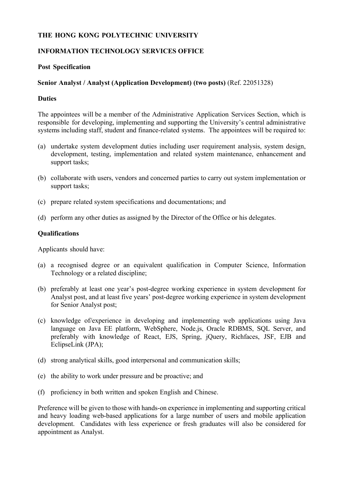# **THE HONG KONG POLYTECHNIC UNIVERSITY**

# **INFORMATION TECHNOLOGY SERVICES OFFICE**

### **Post Specification**

# **Senior Analyst / Analyst (Application Development) (two posts)** (Ref. 22051328)

### **Duties**

The appointees will be a member of the Administrative Application Services Section, which is responsible for developing, implementing and supporting the University's central administrative systems including staff, student and finance-related systems. The appointees will be required to:

- (a) undertake system development duties including user requirement analysis, system design, development, testing, implementation and related system maintenance, enhancement and support tasks;
- (b) collaborate with users, vendors and concerned parties to carry out system implementation or support tasks;
- (c) prepare related system specifications and documentations; and
- (d) perform any other duties as assigned by the Director of the Office or his delegates.

### **Qualifications**

Applicants should have:

- (a) a recognised degree or an equivalent qualification in Computer Science, Information Technology or a related discipline;
- (b) preferably at least one year's post-degree working experience in system development for Analyst post, and at least five years' post-degree working experience in system development for Senior Analyst post;
- (c) knowledge of/experience in developing and implementing web applications using Java language on Java EE platform, WebSphere, Node.js, Oracle RDBMS, SQL Server, and preferably with knowledge of React, EJS, Spring, jQuery, Richfaces, JSF, EJB and EclipseLink (JPA);
- (d) strong analytical skills, good interpersonal and communication skills;
- (e) the ability to work under pressure and be proactive; and
- (f) proficiency in both written and spoken English and Chinese.

Preference will be given to those with hands-on experience in implementing and supporting critical and heavy loading web-based applications for a large number of users and mobile application development. Candidates with less experience or fresh graduates will also be considered for appointment as Analyst.